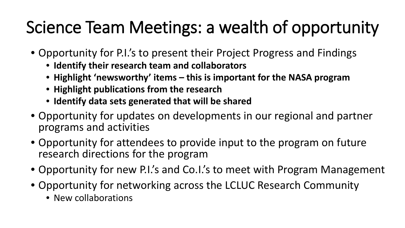# Science Team Meetings: a wealth of opportunity

- Opportunity for P.I.'s to present their Project Progress and Findings
	- **Identify their research team and collaborators**
	- **Highlight 'newsworthy' items – this is important for the NASA program**
	- **Highlight publications from the research**
	- **Identify data sets generated that will be shared**
- Opportunity for updates on developments in our regional and partner programs and activities
- Opportunity for attendees to provide input to the program on future research directions for the program
- Opportunity for new P.I.'s and Co.I.'s to meet with Program Management
- Opportunity for networking across the LCLUC Research Community
	- New collaborations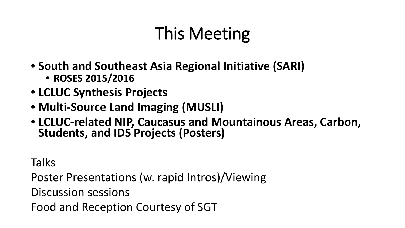# This Meeting

- **South and Southeast Asia Regional Initiative (SARI)**  • **ROSES 2015/2016**
- **LCLUC Synthesis Projects**
- **Multi-Source Land Imaging (MUSLI)**
- **LCLUC-related NIP, Caucasus and Mountainous Areas, Carbon, Students, and IDS Projects (Posters)**

**Talks** 

Poster Presentations (w. rapid Intros)/Viewing

Discussion sessions

Food and Reception Courtesy of SGT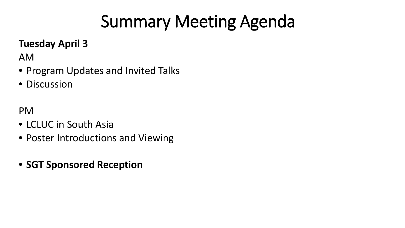# Summary Meeting Agenda

### **Tuesday April 3**

AM

- Program Updates and Invited Talks
- Discussion

PM

- LCLUC in South Asia
- Poster Introductions and Viewing
- **SGT Sponsored Reception**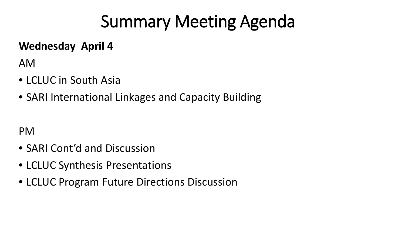# Summary Meeting Agenda

#### **Wednesday April 4**

AM

- LCLUC in South Asia
- SARI International Linkages and Capacity Building

PM

- SARI Cont'd and Discussion
- LCLUC Synthesis Presentations
- LCLUC Program Future Directions Discussion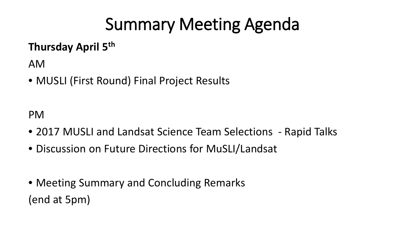# Summary Meeting Agenda

### **Thursday April 5th**

AM

• MUSLI (First Round) Final Project Results

PM

- 2017 MUSLI and Landsat Science Team Selections Rapid Talks
- Discussion on Future Directions for MuSLI/Landsat
- Meeting Summary and Concluding Remarks (end at 5pm)